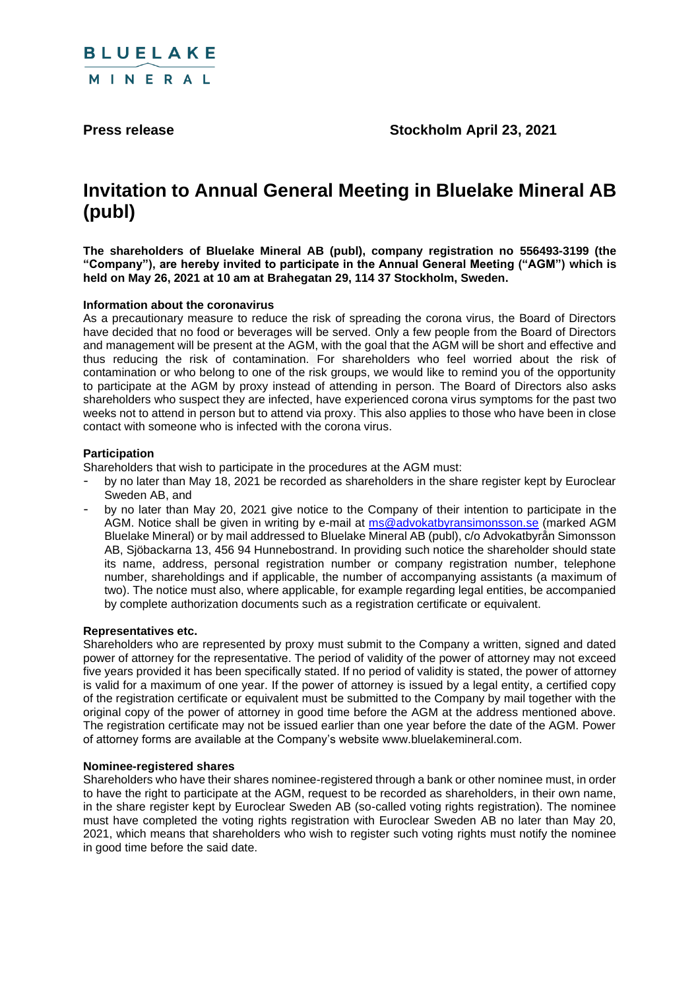

**Press release Stockholm April 23, 2021** 

# **Invitation to Annual General Meeting in Bluelake Mineral AB (publ)**

**The shareholders of Bluelake Mineral AB (publ), company registration no 556493-3199 (the "Company"), are hereby invited to participate in the Annual General Meeting ("AGM") which is held on May 26, 2021 at 10 am at Brahegatan 29, 114 37 Stockholm, Sweden.**

### **Information about the coronavirus**

As a precautionary measure to reduce the risk of spreading the corona virus, the Board of Directors have decided that no food or beverages will be served. Only a few people from the Board of Directors and management will be present at the AGM, with the goal that the AGM will be short and effective and thus reducing the risk of contamination. For shareholders who feel worried about the risk of contamination or who belong to one of the risk groups, we would like to remind you of the opportunity to participate at the AGM by proxy instead of attending in person. The Board of Directors also asks shareholders who suspect they are infected, have experienced corona virus symptoms for the past two weeks not to attend in person but to attend via proxy. This also applies to those who have been in close contact with someone who is infected with the corona virus.

### **Participation**

Shareholders that wish to participate in the procedures at the AGM must:

- by no later than May 18, 2021 be recorded as shareholders in the share register kept by Euroclear Sweden AB, and
- by no later than May 20, 2021 give notice to the Company of their intention to participate in the AGM. Notice shall be given in writing by e-mail at  $ms@advokatbyransimonsson.se$  (marked AGM Bluelake Mineral) or by mail addressed to Bluelake Mineral AB (publ), c/o Advokatbyrån Simonsson AB, Sjöbackarna 13, 456 94 Hunnebostrand. In providing such notice the shareholder should state its name, address, personal registration number or company registration number, telephone number, shareholdings and if applicable, the number of accompanying assistants (a maximum of two). The notice must also, where applicable, for example regarding legal entities, be accompanied by complete authorization documents such as a registration certificate or equivalent.

### **Representatives etc.**

Shareholders who are represented by proxy must submit to the Company a written, signed and dated power of attorney for the representative. The period of validity of the power of attorney may not exceed five years provided it has been specifically stated. If no period of validity is stated, the power of attorney is valid for a maximum of one year. If the power of attorney is issued by a legal entity, a certified copy of the registration certificate or equivalent must be submitted to the Company by mail together with the original copy of the power of attorney in good time before the AGM at the address mentioned above. The registration certificate may not be issued earlier than one year before the date of the AGM. Power of attorney forms are available at the Company's website www.bluelakemineral.com.

### **Nominee-registered shares**

Shareholders who have their shares nominee-registered through a bank or other nominee must, in order to have the right to participate at the AGM, request to be recorded as shareholders, in their own name, in the share register kept by Euroclear Sweden AB (so-called voting rights registration). The nominee must have completed the voting rights registration with Euroclear Sweden AB no later than May 20, 2021, which means that shareholders who wish to register such voting rights must notify the nominee in good time before the said date.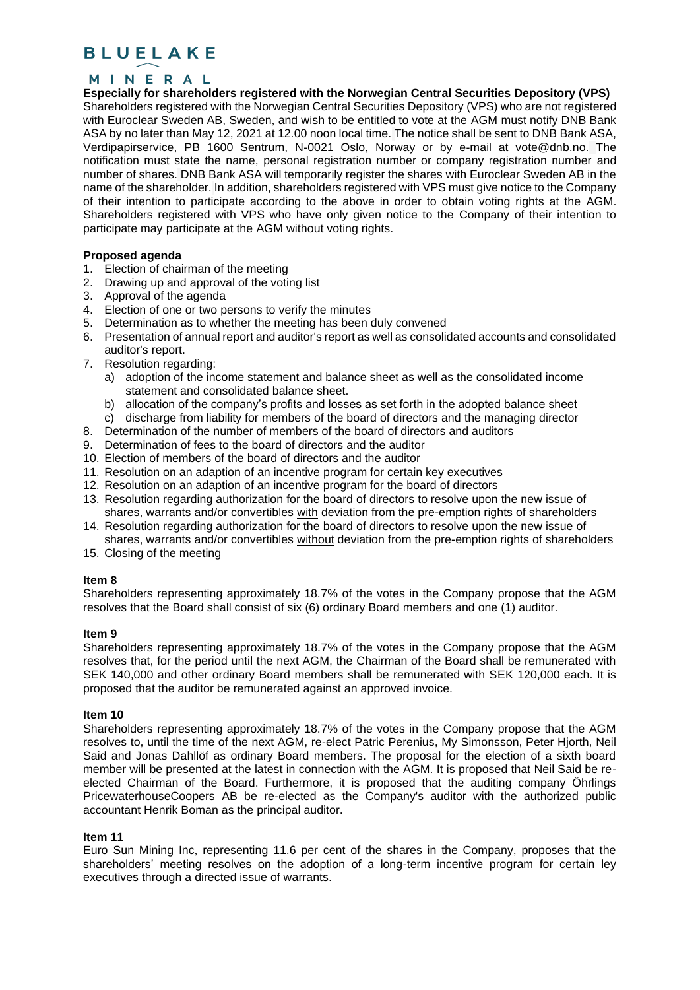## **BLUELAKE**

### MINERAL

**Especially for shareholders registered with the Norwegian Central Securities Depository (VPS)** Shareholders registered with the Norwegian Central Securities Depository (VPS) who are not registered with Euroclear Sweden AB, Sweden, and wish to be entitled to vote at the AGM must notify DNB Bank ASA by no later than May 12, 2021 at 12.00 noon local time. The notice shall be sent to DNB Bank ASA, Verdipapirservice, PB 1600 Sentrum, N-0021 Oslo, Norway or by e-mail at vote@dnb.no. The notification must state the name, personal registration number or company registration number and number of shares. DNB Bank ASA will temporarily register the shares with Euroclear Sweden AB in the name of the shareholder. In addition, shareholders registered with VPS must give notice to the Company of their intention to participate according to the above in order to obtain voting rights at the AGM. Shareholders registered with VPS who have only given notice to the Company of their intention to participate may participate at the AGM without voting rights.

### **Proposed agenda**

- 1. Election of chairman of the meeting
- 2. Drawing up and approval of the voting list
- 3. Approval of the agenda
- 4. Election of one or two persons to verify the minutes
- 5. Determination as to whether the meeting has been duly convened
- 6. Presentation of annual report and auditor's report as well as consolidated accounts and consolidated auditor's report.
- 7. Resolution regarding:
	- a) adoption of the income statement and balance sheet as well as the consolidated income statement and consolidated balance sheet.
	- b) allocation of the company's profits and losses as set forth in the adopted balance sheet
	- c) discharge from liability for members of the board of directors and the managing director
- 8. Determination of the number of members of the board of directors and auditors
- 9. Determination of fees to the board of directors and the auditor
- 10. Election of members of the board of directors and the auditor
- 11. Resolution on an adaption of an incentive program for certain key executives
- 12. Resolution on an adaption of an incentive program for the board of directors
- 13. Resolution regarding authorization for the board of directors to resolve upon the new issue of shares, warrants and/or convertibles with deviation from the pre-emption rights of shareholders
- 14. Resolution regarding authorization for the board of directors to resolve upon the new issue of shares, warrants and/or convertibles without deviation from the pre-emption rights of shareholders
- 15. Closing of the meeting

### **Item 8**

Shareholders representing approximately 18.7% of the votes in the Company propose that the AGM resolves that the Board shall consist of six (6) ordinary Board members and one (1) auditor.

### **Item 9**

Shareholders representing approximately 18.7% of the votes in the Company propose that the AGM resolves that, for the period until the next AGM, the Chairman of the Board shall be remunerated with SEK 140,000 and other ordinary Board members shall be remunerated with SEK 120,000 each. It is proposed that the auditor be remunerated against an approved invoice.

### **Item 10**

Shareholders representing approximately 18.7% of the votes in the Company propose that the AGM resolves to, until the time of the next AGM, re-elect Patric Perenius, My Simonsson, Peter Hjorth, Neil Said and Jonas Dahllöf as ordinary Board members. The proposal for the election of a sixth board member will be presented at the latest in connection with the AGM. It is proposed that Neil Said be reelected Chairman of the Board. Furthermore, it is proposed that the auditing company Öhrlings PricewaterhouseCoopers AB be re-elected as the Company's auditor with the authorized public accountant Henrik Boman as the principal auditor.

### **Item 11**

Euro Sun Mining Inc, representing 11.6 per cent of the shares in the Company, proposes that the shareholders' meeting resolves on the adoption of a long-term incentive program for certain ley executives through a directed issue of warrants.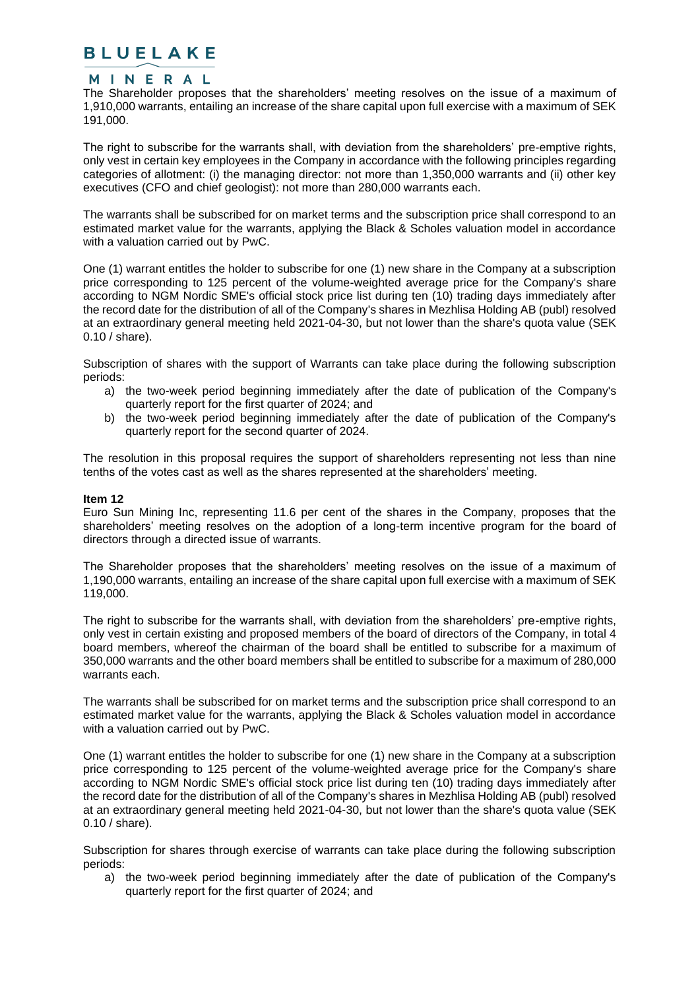## **BLUELAKE**

### MINERAL

The Shareholder proposes that the shareholders' meeting resolves on the issue of a maximum of 1,910,000 warrants, entailing an increase of the share capital upon full exercise with a maximum of SEK 191,000.

The right to subscribe for the warrants shall, with deviation from the shareholders' pre-emptive rights, only vest in certain key employees in the Company in accordance with the following principles regarding categories of allotment: (i) the managing director: not more than 1,350,000 warrants and (ii) other key executives (CFO and chief geologist): not more than 280,000 warrants each.

The warrants shall be subscribed for on market terms and the subscription price shall correspond to an estimated market value for the warrants, applying the Black & Scholes valuation model in accordance with a valuation carried out by PwC.

One (1) warrant entitles the holder to subscribe for one (1) new share in the Company at a subscription price corresponding to 125 percent of the volume-weighted average price for the Company's share according to NGM Nordic SME's official stock price list during ten (10) trading days immediately after the record date for the distribution of all of the Company's shares in Mezhlisa Holding AB (publ) resolved at an extraordinary general meeting held 2021-04-30, but not lower than the share's quota value (SEK 0.10 / share).

Subscription of shares with the support of Warrants can take place during the following subscription periods:

- a) the two-week period beginning immediately after the date of publication of the Company's quarterly report for the first quarter of 2024; and
- b) the two-week period beginning immediately after the date of publication of the Company's quarterly report for the second quarter of 2024.

The resolution in this proposal requires the support of shareholders representing not less than nine tenths of the votes cast as well as the shares represented at the shareholders' meeting.

### **Item 12**

Euro Sun Mining Inc, representing 11.6 per cent of the shares in the Company, proposes that the shareholders' meeting resolves on the adoption of a long-term incentive program for the board of directors through a directed issue of warrants.

The Shareholder proposes that the shareholders' meeting resolves on the issue of a maximum of 1,190,000 warrants, entailing an increase of the share capital upon full exercise with a maximum of SEK 119,000.

The right to subscribe for the warrants shall, with deviation from the shareholders' pre-emptive rights, only vest in certain existing and proposed members of the board of directors of the Company, in total 4 board members, whereof the chairman of the board shall be entitled to subscribe for a maximum of 350,000 warrants and the other board members shall be entitled to subscribe for a maximum of 280,000 warrants each.

The warrants shall be subscribed for on market terms and the subscription price shall correspond to an estimated market value for the warrants, applying the Black & Scholes valuation model in accordance with a valuation carried out by PwC.

One (1) warrant entitles the holder to subscribe for one (1) new share in the Company at a subscription price corresponding to 125 percent of the volume-weighted average price for the Company's share according to NGM Nordic SME's official stock price list during ten (10) trading days immediately after the record date for the distribution of all of the Company's shares in Mezhlisa Holding AB (publ) resolved at an extraordinary general meeting held 2021-04-30, but not lower than the share's quota value (SEK 0.10 / share).

Subscription for shares through exercise of warrants can take place during the following subscription periods:

a) the two-week period beginning immediately after the date of publication of the Company's quarterly report for the first quarter of 2024; and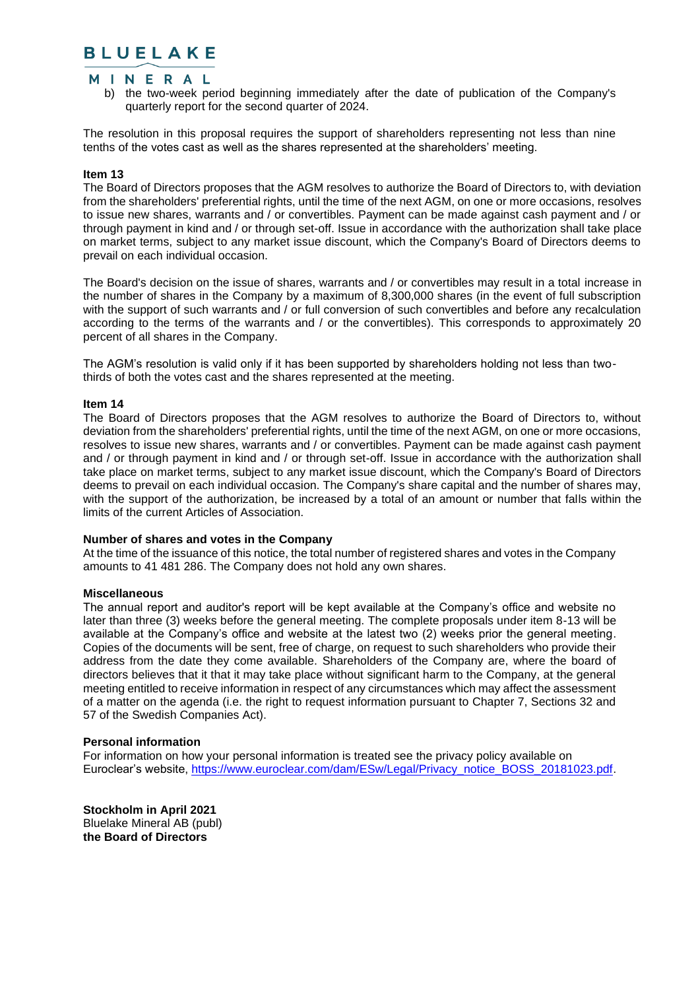## **BLUELAKE**

### MINERAL

b) the two-week period beginning immediately after the date of publication of the Company's quarterly report for the second quarter of 2024.

The resolution in this proposal requires the support of shareholders representing not less than nine tenths of the votes cast as well as the shares represented at the shareholders' meeting.

### **Item 13**

The Board of Directors proposes that the AGM resolves to authorize the Board of Directors to, with deviation from the shareholders' preferential rights, until the time of the next AGM, on one or more occasions, resolves to issue new shares, warrants and / or convertibles. Payment can be made against cash payment and / or through payment in kind and / or through set-off. Issue in accordance with the authorization shall take place on market terms, subject to any market issue discount, which the Company's Board of Directors deems to prevail on each individual occasion.

The Board's decision on the issue of shares, warrants and / or convertibles may result in a total increase in the number of shares in the Company by a maximum of 8,300,000 shares (in the event of full subscription with the support of such warrants and / or full conversion of such convertibles and before any recalculation according to the terms of the warrants and / or the convertibles). This corresponds to approximately 20 percent of all shares in the Company.

The AGM's resolution is valid only if it has been supported by shareholders holding not less than twothirds of both the votes cast and the shares represented at the meeting.

### **Item 14**

The Board of Directors proposes that the AGM resolves to authorize the Board of Directors to, without deviation from the shareholders' preferential rights, until the time of the next AGM, on one or more occasions, resolves to issue new shares, warrants and / or convertibles. Payment can be made against cash payment and / or through payment in kind and / or through set-off. Issue in accordance with the authorization shall take place on market terms, subject to any market issue discount, which the Company's Board of Directors deems to prevail on each individual occasion. The Company's share capital and the number of shares may, with the support of the authorization, be increased by a total of an amount or number that falls within the limits of the current Articles of Association.

#### **Number of shares and votes in the Company**

At the time of the issuance of this notice, the total number of registered shares and votes in the Company amounts to 41 481 286. The Company does not hold any own shares.

#### **Miscellaneous**

The annual report and auditor's report will be kept available at the Company's office and website no later than three (3) weeks before the general meeting. The complete proposals under item 8-13 will be available at the Company's office and website at the latest two (2) weeks prior the general meeting. Copies of the documents will be sent, free of charge, on request to such shareholders who provide their address from the date they come available. Shareholders of the Company are, where the board of directors believes that it that it may take place without significant harm to the Company, at the general meeting entitled to receive information in respect of any circumstances which may affect the assessment of a matter on the agenda (i.e. the right to request information pursuant to Chapter 7, Sections 32 and 57 of the Swedish Companies Act).

#### **Personal information**

For information on how your personal information is treated see the privacy policy available on Euroclear's website, [https://www.euroclear.com/dam/ESw/Legal/Privacy\\_notice\\_BOSS\\_20181023.pdf.](https://www.euroclear.com/dam/ESw/Legal/Privacy_notice_BOSS_20181023.pdf)

**Stockholm in April 2021** Bluelake Mineral AB (publ) **the Board of Directors**